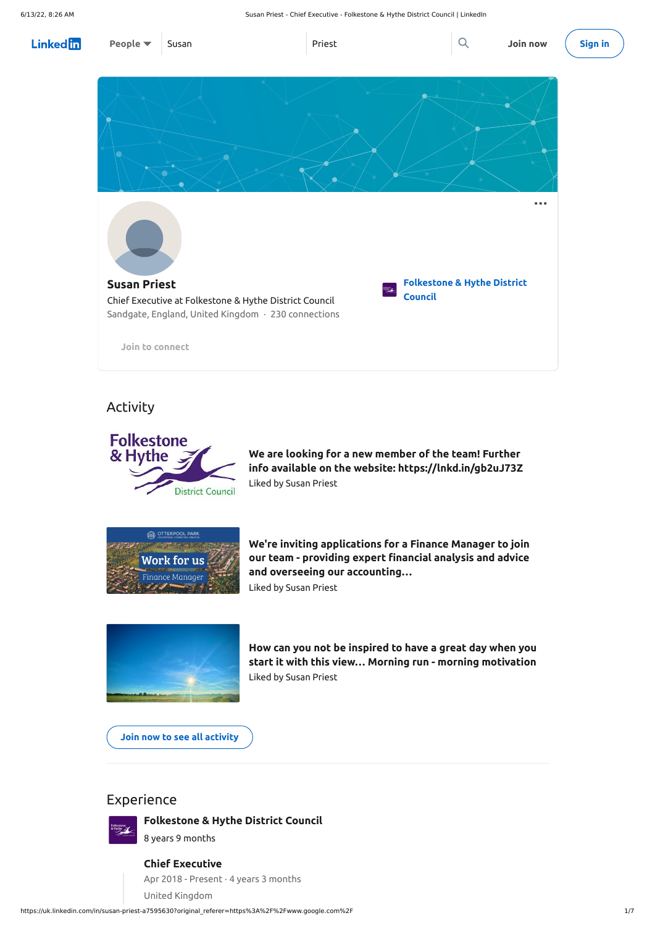https://uk.linkedin.com/in/susan-priest-a7595630?original\_referer=https%3A%2F%2Fwww.google.com%2F 1/7

## Activity



## Experience



### **[Folkestone](https://uk.linkedin.com/company/folkestone-hythe-district-council?trk=public_profile_experience-group-header) & Hythe District Council**

8 years 9 months

**We are looking for a new member of the team! Further info available on the website: [https://lnkd.in/gb2uJ73Z](https://www.linkedin.com/signup/cold-join?session_redirect=https%3A%2F%2Fuk%2Elinkedin%2Ecom%2Fposts%2Fjemma-west-83a182125_we-are-looking-for-a-new-member-of-the-team-activity-6925102623582814208-aQfL&trk=public_profile_like_view)** Liked by Susan [Priest](https://uk.linkedin.com/in/susan-priest-a7595630?trk=public_profile_like_view_actor-name)



**We're inviting applications for a Finance Manager to join our team - providing expert financial analysis and advice and overseeing our [accounting…](https://www.linkedin.com/signup/cold-join?session_redirect=https%3A%2F%2Fuk%2Elinkedin%2Ecom%2Fposts%2Fotterpool-park_financejobs-workinkent-jobsinkent-activity-6808029710812020736-5Y_K&trk=public_profile_like_view)** Liked by Susan [Priest](https://uk.linkedin.com/in/susan-priest-a7595630?trk=public_profile_like_view_actor-name)





**How can you not be inspired to have a great day when you start it with this view… Morning run - morning [motivation](https://www.linkedin.com/signup/cold-join?session_redirect=https%3A%2F%2Fuk%2Elinkedin%2Ecom%2Fposts%2Fnick-sparkes-6b152a107_how-can-you-not-be-inspired-to-have-a-great-activity-6808502015988133889-_1Y3&trk=public_profile_like_view)** Liked by Susan [Priest](https://uk.linkedin.com/in/susan-priest-a7595630?trk=public_profile_like_view_actor-name)

**Join now to see all [activity](https://www.linkedin.com/signup/cold-join?session_redirect=https%3A%2F%2Fuk%2Elinkedin%2Ecom%2Fin%2Fsusan-priest-a7595630%2Frecent-activity%2F&trk=public_profile_see-all-posts)**

### **Chief Executive**

Apr 2018 - Present · 4 years 3 months

United Kingdom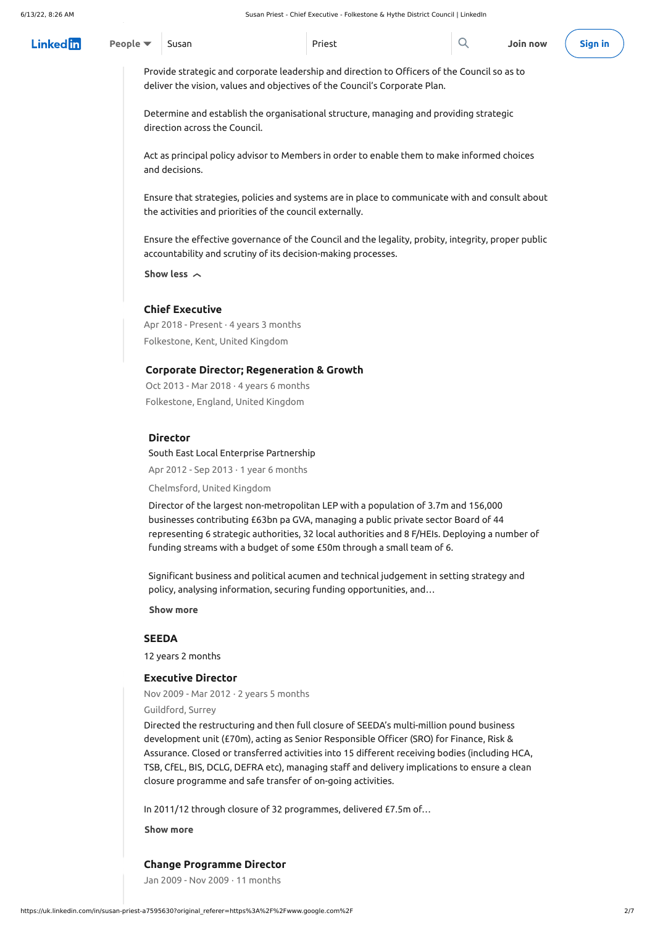### **[SEEDA](https://uk.linkedin.com/company/seeda?trk=public_profile_experience-group-header)**

12 years 2 months

| Linkedin | <b>People</b> $\bullet$ Susan | Priest | Join now (Sign in |  |
|----------|-------------------------------|--------|-------------------|--|

Provide strategic and corporate leadership and direction to Officers of the Council so as to deliver the vision, values and objectives of the Council's Corporate Plan.

Determine and establish the organisational structure, managing and providing strategic direction across the Council.

Oct 2013 - Mar 2018  $\cdot$  4 years 6 months Folkestone, England, United Kingdom

Act as principal policy advisor to Members in order to enable them to make informed choices and decisions.

Ensure that strategies, policies and systems are in place to communicate with and consult about the activities and priorities of the council externally.

Apr 2012 - Sep 2013 $\cdot$  1 year 6 months South East Local Enterprise [Partnership](https://uk.linkedin.com/company/south-east-lep?trk=public_profile_experience-item_profile-section-card_subtitle-click)

Ensure the effective governance of the Council and the legality, probity, integrity, proper public accountability and scrutiny of its decision-making processes.

**Show** less  $\sim$ 

### **Chief Executive**

Apr 2018 - Present · 4 years 3 months Folkestone, Kent, United Kingdom

### **Corporate Director; Regeneration & Growth**

### **Director**

Chelmsford, United Kingdom

Director of the largest non-metropolitan LEP with a population of 3.7m and 156,000 businesses contributing £63bn pa GVA, managing a public private sector Board of 44 representing 6 strategic authorities, 32 local authorities and 8 F/HEIs. Deploying a number of funding streams with a budget of some £50m through a small team of 6.

Significant business and political acumen and technical judgement in setting strategy and policy, analysing information, securing funding opportunities, and…

**Show more**

### **Executive Director**

Nov 2009 - Mar 2012  $\cdot$  2 years 5 months

Guildford, Surrey

Directed the restructuring and then full closure of SEEDA's multi-million pound business development unit (£70m), acting as Senior Responsible Officer (SRO) for Finance, Risk & Assurance. Closed or transferred activities into 15 different receiving bodies (including HCA, TSB, CfEL, BIS, DCLG, DEFRA etc), managing staff and delivery implications to ensure a clean closure programme and safe transfer of on-going activities.

In 2011/12 through closure of 32 programmes, delivered £7.5m of…

**Show more**

### **Change Programme Director**

Jan 2009 - Nov 2009 · 11 months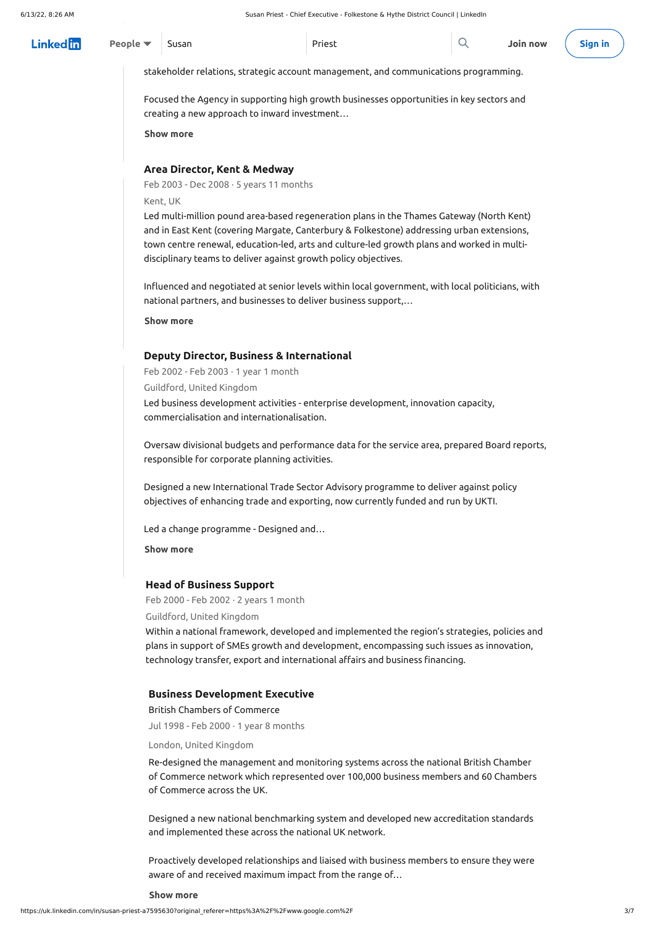stakeholder relations, strategic account management, and communications programming.

Focused the Agency in supporting high growth businesses opportunities in key sectors and creating a new approach to inward investment…

**Show more**

#### **Area Director, Kent & Medway**

Feb 2003 - Dec 2008  $\cdot$  5 years 11 months

Kent, UK

Led multi-million pound area-based regeneration plans in the Thames Gateway (North Kent) and in East Kent (covering Margate, Canterbury & Folkestone) addressing urban extensions, town centre renewal, education-led, arts and culture-led growth plans and worked in multidisciplinary teams to deliver against growth policy objectives.

Influenced and negotiated at senior levels within local government, with local politicians, with national partners, and businesses to deliver business support,…

**Show more**

### **Deputy Director, Business & International**

Feb 2002 - Feb 2003 $\cdot$  1 year 1 month

Guildford, United Kingdom

Led business development activities - enterprise development, innovation capacity, commercialisation and internationalisation.

| $Linked In$ People $\blacktriangledown$ Susan |  | Priest | $\boxed{\mathsf{Q}}$ Join now $\boxed{\mathsf{Sign}\,\mathsf{in}}$ |  |
|-----------------------------------------------|--|--------|--------------------------------------------------------------------|--|
|                                               |  |        |                                                                    |  |

Oversaw divisional budgets and performance data for the service area, prepared Board reports, responsible for corporate planning activities.

Designed a new International Trade Sector Advisory programme to deliver against policy objectives of enhancing trade and exporting, now currently funded and run by UKTI.

Led a change programme - Designed and…

**Show more**

### **Head of Business Support**

Feb 2000 - Feb 2002  $\cdot$  2 years 1 month

Guildford, United Kingdom

Within a national framework, developed and implemented the region's strategies, policies and plans in support of SMEs growth and development, encompassing such issues as innovation, technology transfer, export and international affairs and business financing.

#### **Business Development Executive**

Jul 1998 - Feb 2000 · 1 year 8 months

London, United Kingdom

Re-designed the management and monitoring systems across the national British Chamber of Commerce network which represented over 100,000 business members and 60 Chambers of Commerce across the UK.

Designed a new national benchmarking system and developed new accreditation standards and implemented these across the national UK network.

Proactively developed relationships and liaised with business members to ensure they were aware of and received maximum impact from the range of…

### **Show more**

### British Chambers of [Commerce](https://uk.linkedin.com/company/british-chambers-of-commerce?trk=public_profile_experience-item_profile-section-card_subtitle-click)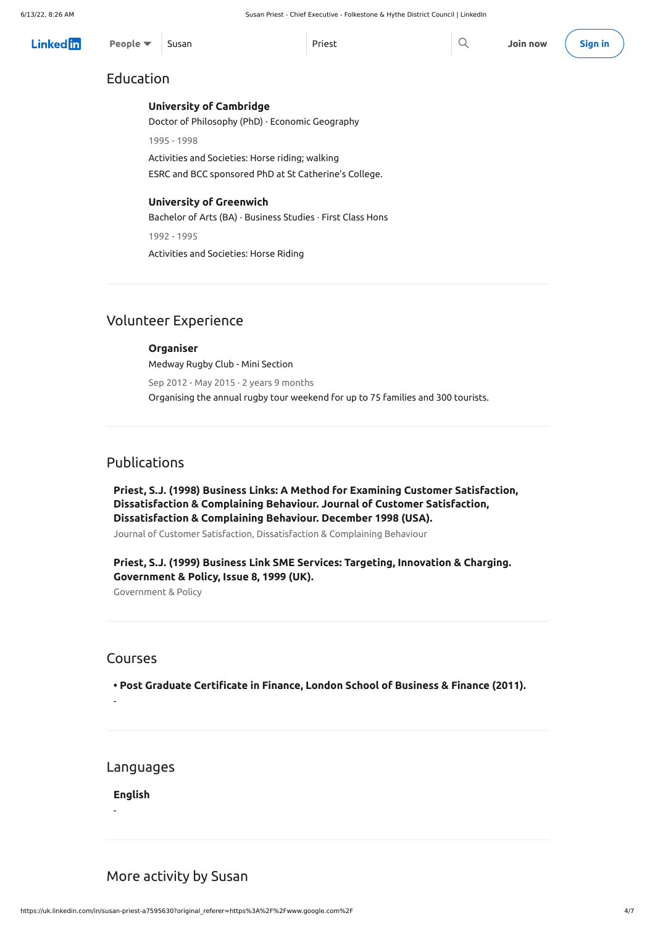https://uk.linkedin.com/in/susan-priest-a7595630?original\_referer=https%3A%2F%2Fwww.google.com%2F 4/7

## Education

## Volunteer Experience

## Publications

### Courses

# Languages

## More activity by Susan

### **University of [Cambridge](https://www.linkedin.com/school/university-of-cambridge/?trk=public_profile_school_profile-section-card_full-click)**

Doctor of Philosophy (PhD) · Economic Geography

1995 - 1998

Activities and Societies: Horse riding; walking

ESRC and BCC sponsored PhD at St Catherine's College.

### **University of [Greenwich](https://www.linkedin.com/school/university-of-greenwich/?trk=public_profile_school_profile-section-card_full-click)**

Bachelor of Arts (BA) · Business Studies · First Class Hons

1992 - 1995

Activities and Societies: Horse Riding

### **[Organiser](https://uk.linkedin.com/company/united-latino-students-association?trk=public_profile_volunteering-position_profile-section-card_full-click)**

Medway Rugby Club - Mini Section Sep 2012 - May 2015 $\cdot$  2 years 9 months Organising the annual rugby tour weekend for up to 75 families and 300 tourists.

### **Priest, S.J. (1998) Business Links: A Method for Examining Customer Satisfaction, Dissatisfaction & Complaining Behaviour. Journal of Customer Satisfaction, Dissatisfaction & Complaining Behaviour. December 1998 (USA).**

Journal of Customer Satisfaction, Dissatisfaction & Complaining Behaviour

### **Priest, S.J. (1999) Business Link SME Services: Targeting, Innovation & Charging. Government & Policy, Issue 8, 1999 (UK).**

Government & Policy

**• Post Graduate Certificate in Finance, London School of Business & Finance (2011).**

-

**English**

-

| <b>Linked</b> in | People $\blacktriangledown$ Susan |  | Priest |  | Join now (Sign in |  |
|------------------|-----------------------------------|--|--------|--|-------------------|--|
|------------------|-----------------------------------|--|--------|--|-------------------|--|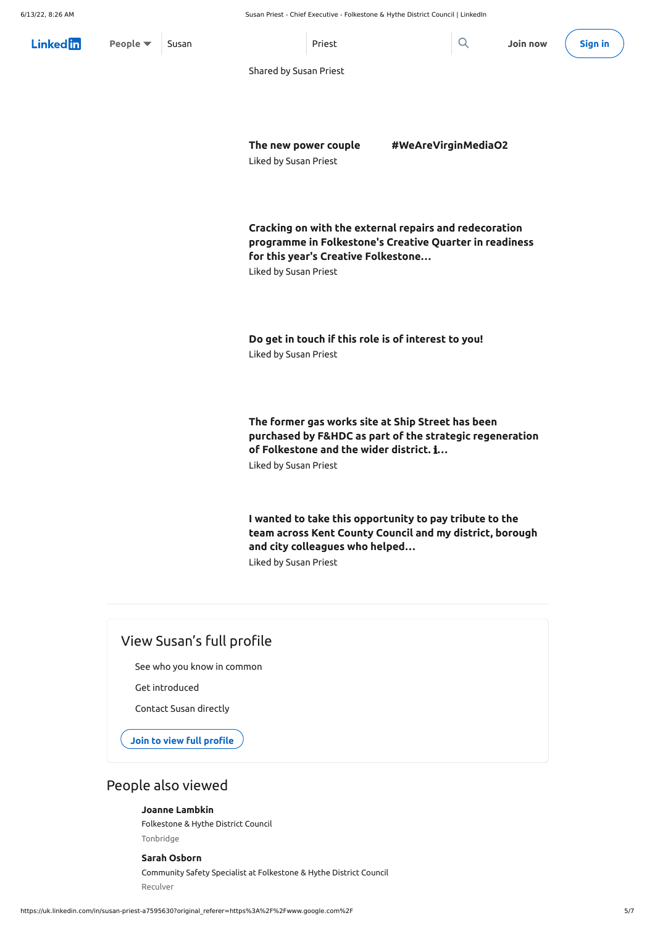## View Susan's full profile

See who you know in common

Get introduced

Contact Susan directly

**Join to view full [profile](https://www.linkedin.com/signup/public-profile-join?vieweeVanityName=susan-priest-a7595630&trk=public_profile_bottom-cta-banner)**

## People also viewed

**The new power couple** ❤️ **[#WeAreVirginMediaO2](https://www.linkedin.com/signup/cold-join?session_redirect=https%3A%2F%2Fuk%2Elinkedin%2Ecom%2Fposts%2Fkate-north-47a70a43_wearevirginmediao2-activity-6805521342314635264--fsV&trk=public_profile_like_view)**

Liked by Susan [Priest](https://uk.linkedin.com/in/susan-priest-a7595630?trk=public_profile_like_view_actor-name)

**Cracking on with the external repairs and redecoration programme in Folkestone's Creative Quarter in readiness for this year's Creative [Folkestone…](https://www.linkedin.com/signup/cold-join?session_redirect=https%3A%2F%2Fuk%2Elinkedin%2Ecom%2Fposts%2Fandy-cruttenden_cdmprincipaldesigner-employersagent-buildingconsultant-activity-6803306188592214016-_CWc&trk=public_profile_like_view)**

Liked by Susan [Priest](https://uk.linkedin.com/in/susan-priest-a7595630?trk=public_profile_like_view_actor-name)

**Do get in touch if this role is of [interest](https://www.linkedin.com/signup/cold-join?session_redirect=https%3A%2F%2Fuk%2Elinkedin%2Ecom%2Fposts%2Ffolkestone-hythe-district-council_job-alert-we-are-looking-for-an-activity-6792144995773104128-gZtA&trk=public_profile_like_view) to you!** Liked by Susan [Priest](https://uk.linkedin.com/in/susan-priest-a7595630?trk=public_profile_like_view_actor-name)

| Linkedin               | People $\blacktriangledown$ | Susan | Priest |  | Join now (Sign in |  |
|------------------------|-----------------------------|-------|--------|--|-------------------|--|
| Shared by Susan Priest |                             |       |        |  |                   |  |

**The former gas works site at Ship Street has been purchased by F&HDC as part of the strategic [regeneration](https://www.linkedin.com/signup/cold-join?session_redirect=https%3A%2F%2Fuk%2Elinkedin%2Ecom%2Fposts%2Ffolkestone-hythe-district-council_the-former-gas-works-site-at-ship-street-activity-6788155747986374656-wbUY&trk=public_profile_like_view) of Folkestone and the wider district.** ℹ**…** Liked by Susan [Priest](https://uk.linkedin.com/in/susan-priest-a7595630?trk=public_profile_like_view_actor-name)

**I wanted to take this [opportunity](https://www.linkedin.com/signup/cold-join?session_redirect=https%3A%2F%2Fuk%2Elinkedin%2Ecom%2Fposts%2Fben-watts-6b661932_election-results-activity-6796534025658880000-ilde&trk=public_profile_like_view) to pay tribute to the team across Kent County Council and my district, borough and city colleagues who helped…**

Liked by Susan [Priest](https://uk.linkedin.com/in/susan-priest-a7595630?trk=public_profile_like_view_actor-name)

Folkestone & Hythe District Council

Tonbridge

### **Joanne [Lambkin](https://uk.linkedin.com/in/joanne-lambkin-330b34161?trk=public_profile_browsemap)**

[Community](https://uk.linkedin.com/in/sarah-osborn-30499a1b4?trk=public_profile_browsemap) Safety Specialist at Folkestone & Hythe District Council

Reculver

### **Sarah Osborn**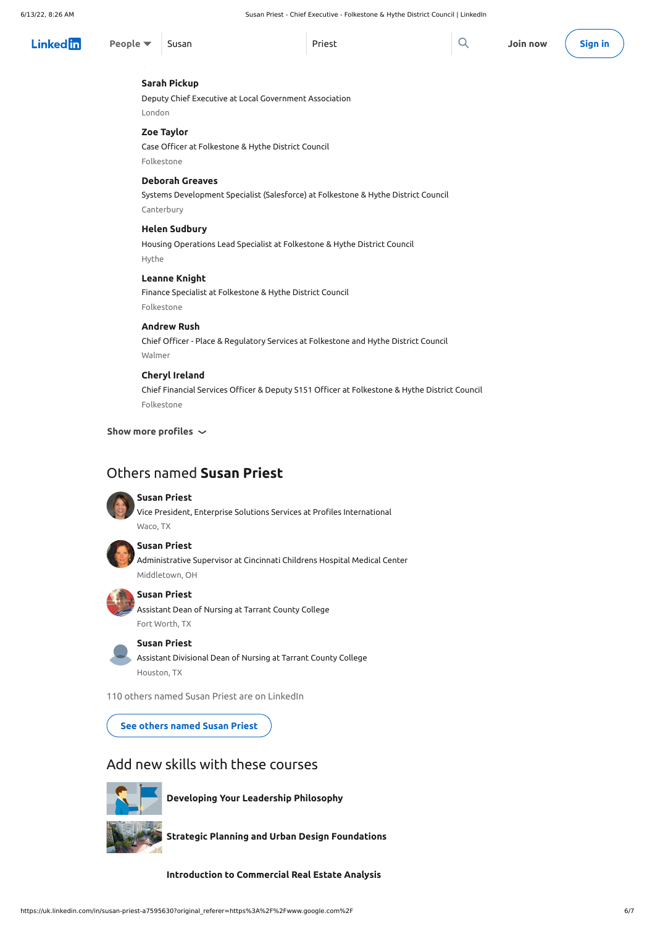### **Show more profiles**

## Others named **Susan Priest**



110 others named Susan Priest are on LinkedIn

Add new skills with these courses



Deputy Chief Executive at Local [Government](https://uk.linkedin.com/in/sarah-pickup-61943a83?trk=public_profile_browsemap) Association London

### **Sarah Pickup**

Case Officer at Folkestone & Hythe District Council

[Folkestone](https://uk.linkedin.com/in/zoe-taylor-869381150?trk=public_profile_browsemap)

### **Zoe Taylor**

Systems [Development](https://uk.linkedin.com/in/deborah-greaves-6132a091?trk=public_profile_browsemap) Specialist (Salesforce) at Folkestone & Hythe District Council Canterbury

### **Deborah Greaves**

Housing Operations Lead Specialist at Folkestone & Hythe District Council Hythe

### **Helen [Sudbury](https://uk.linkedin.com/in/helen-sudbury-8bba4245?trk=public_profile_browsemap)**

Finance Specialist at Folkestone & Hythe District Council [Folkestone](https://uk.linkedin.com/in/leanne-knight-50960b1b7?trk=public_profile_browsemap)

### **Leanne Knight**

Chief Officer - Place & [Regulatory](https://uk.linkedin.com/in/andrew-rush-44a466b1?trk=public_profile_browsemap) Services at Folkestone and Hythe District Council Walmer

### **Andrew Rush**

| $Linked$ $\uparrow$ $\uparrow$ $\uparrow$ $\uparrow$ $\uparrow$ $\uparrow$ $\uparrow$ $\uparrow$ $\uparrow$ $\uparrow$ $\uparrow$ $\uparrow$ $\uparrow$ $\uparrow$ $\uparrow$ $\uparrow$ $\uparrow$ $\uparrow$ $\uparrow$ $\uparrow$ $\uparrow$ $\uparrow$ $\uparrow$ $\uparrow$ $\uparrow$ $\uparrow$ $\uparrow$ $\uparrow$ $\uparrow$ $\uparrow$ $\uparrow$ $\uparrow$ $\uparrow$ $\uparrow$ $\uparrow$ $\$ |  | Priest | Join now (Sign in |  |
|---------------------------------------------------------------------------------------------------------------------------------------------------------------------------------------------------------------------------------------------------------------------------------------------------------------------------------------------------------------------------------------------------------------|--|--------|-------------------|--|

Chief Financial Services Officer & Deputy S151 Officer at Folkestone & Hythe District Council [Folkestone](https://uk.linkedin.com/in/cheryl-ireland-a24b4650?trk=public_profile_browsemap)

#### **Cheryl Ireland**

Vice President, Enterprise Solutions Services at Profiles [International](https://www.linkedin.com/in/susanpriest1?trk=public_profile_samename-profile) Waco, TX



#### **Susan Priest**

[Administrative](https://www.linkedin.com/in/susan-priest-50451019?trk=public_profile_samename-profile) Supervisor at Cincinnati Childrens Hospital Medical Center Middletown, OH



### **Susan Priest**

[Assistant](https://www.linkedin.com/in/susan-priest-60a302204?trk=public_profile_samename-profile) Dean of Nursing at Tarrant County College Fort Worth, TX

### **Susan Priest**

Assistant [Divisional](https://www.linkedin.com/in/susan-priest-4a6365a?trk=public_profile_samename-profile) Dean of Nursing at Tarrant County College Houston, TX

#### **Susan Priest**

**See others [named](https://www.linkedin.com/pub/dir/Susan/Priest?trk=public_profile_samename-see-all) Susan Priest**

**[Developing](https://www.linkedin.com/learning/developing-your-leadership-philosophy?trk=public_profile_recommended-course) Your Leadership Philosophy**



**Strategic Planning and Urban Design [Foundations](https://www.linkedin.com/learning/strategic-planning-and-urban-design-foundations?trk=public_profile_recommended-course)**

**[Introduction](https://www.linkedin.com/learning/introduction-to-commercial-real-estate-analysis?trk=public_profile_recommended-course) to Commercial Real Estate Analysis**